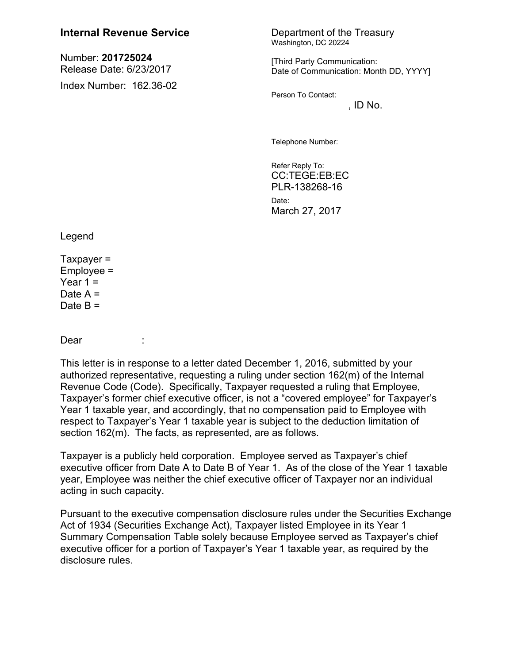## **Internal Revenue Service** Department of the Treasury

Number: **201725024** Release Date: 6/23/2017 Index Number: 162.36-02 Washington, DC 20224

[Third Party Communication: Date of Communication: Month DD, YYYY]

Person To Contact:

 $,$  ID No.

Telephone Number:

Refer Reply To: CC:TEGE:EB:EC PLR-138268-16

Date: March 27, 2017

Legend

 $Taxpayer =$  $Emplovee =$ Year  $1 =$ Date  $A =$ Date  $B =$ 

Dear :

This letter is in response to a letter dated December 1, 2016, submitted by your authorized representative, requesting a ruling under section 162(m) of the Internal Revenue Code (Code). Specifically, Taxpayer requested a ruling that Employee, Taxpayer's former chief executive officer, is not a "covered employee" for Taxpayer's Year 1 taxable year, and accordingly, that no compensation paid to Employee with respect to Taxpayer's Year 1 taxable year is subject to the deduction limitation of section 162(m). The facts, as represented, are as follows.

Taxpayer is a publicly held corporation. Employee served as Taxpayer's chief executive officer from Date A to Date B of Year 1. As of the close of the Year 1 taxable year, Employee was neither the chief executive officer of Taxpayer nor an individual acting in such capacity.

Pursuant to the executive compensation disclosure rules under the Securities Exchange Act of 1934 (Securities Exchange Act), Taxpayer listed Employee in its Year 1 Summary Compensation Table solely because Employee served as Taxpayer's chief executive officer for a portion of Taxpayer's Year 1 taxable year, as required by the disclosure rules.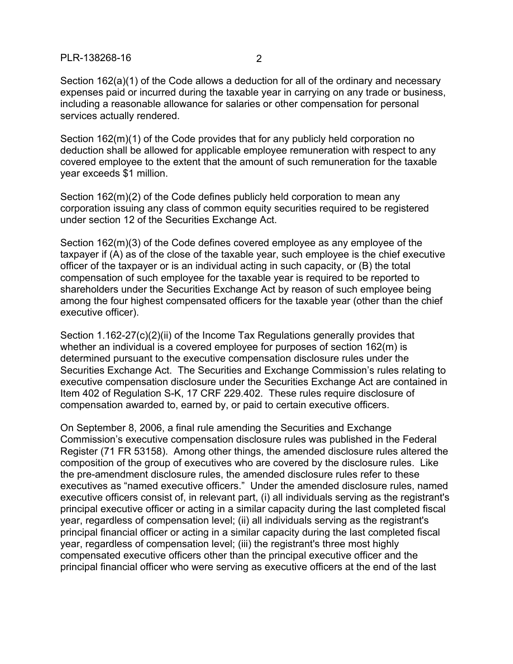PLR-138268-16 2

Section 162(a)(1) of the Code allows a deduction for all of the ordinary and necessary expenses paid or incurred during the taxable year in carrying on any trade or business, including a reasonable allowance for salaries or other compensation for personal services actually rendered.

Section 162(m)(1) of the Code provides that for any publicly held corporation no deduction shall be allowed for applicable employee remuneration with respect to any covered employee to the extent that the amount of such remuneration for the taxable year exceeds \$1 million.

Section 162(m)(2) of the Code defines publicly held corporation to mean any corporation issuing any class of common equity securities required to be registered under section 12 of the Securities Exchange Act.

Section 162(m)(3) of the Code defines covered employee as any employee of the taxpayer if (A) as of the close of the taxable year, such employee is the chief executive officer of the taxpayer or is an individual acting in such capacity, or (B) the total compensation of such employee for the taxable year is required to be reported to shareholders under the Securities Exchange Act by reason of such employee being among the four highest compensated officers for the taxable year (other than the chief executive officer).

Section 1.162-27(c)(2)(ii) of the Income Tax Regulations generally provides that whether an individual is a covered employee for purposes of section 162(m) is determined pursuant to the executive compensation disclosure rules under the Securities Exchange Act. The Securities and Exchange Commission's rules relating to executive compensation disclosure under the Securities Exchange Act are contained in Item 402 of Regulation S-K, 17 CRF 229.402. These rules require disclosure of compensation awarded to, earned by, or paid to certain executive officers.

On September 8, 2006, a final rule amending the Securities and Exchange Commission's executive compensation disclosure rules was published in the Federal Register (71 FR 53158). Among other things, the amended disclosure rules altered the composition of the group of executives who are covered by the disclosure rules. Like the pre-amendment disclosure rules, the amended disclosure rules refer to these executives as "named executive officers." Under the amended disclosure rules, named executive officers consist of, in relevant part, (i) all individuals serving as the registrant's principal executive officer or acting in a similar capacity during the last completed fiscal year, regardless of compensation level; (ii) all individuals serving as the registrant's principal financial officer or acting in a similar capacity during the last completed fiscal year, regardless of compensation level; (iii) the registrant's three most highly compensated executive officers other than the principal executive officer and the principal financial officer who were serving as executive officers at the end of the last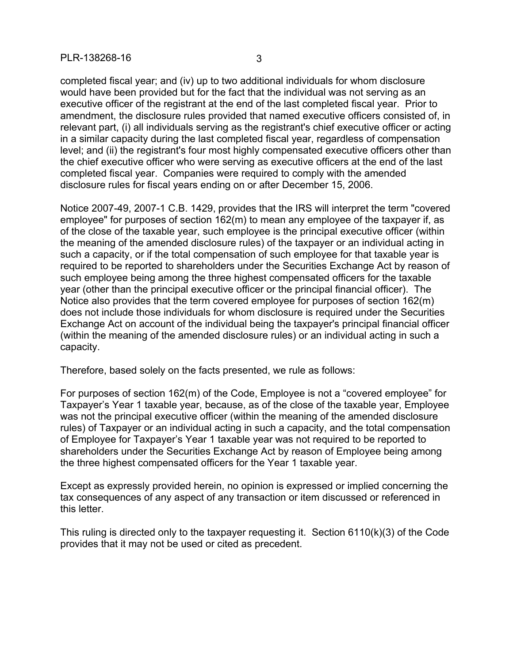completed fiscal year; and (iv) up to two additional individuals for whom disclosure would have been provided but for the fact that the individual was not serving as an executive officer of the registrant at the end of the last completed fiscal year. Prior to amendment, the disclosure rules provided that named executive officers consisted of, in relevant part, (i) all individuals serving as the registrant's chief executive officer or acting in a similar capacity during the last completed fiscal year, regardless of compensation level; and (ii) the registrant's four most highly compensated executive officers other than the chief executive officer who were serving as executive officers at the end of the last completed fiscal year. Companies were required to comply with the amended disclosure rules for fiscal years ending on or after December 15, 2006.

Notice 2007-49, 2007-1 C.B. 1429, provides that the IRS will interpret the term "covered employee" for purposes of section 162(m) to mean any employee of the taxpayer if, as of the close of the taxable year, such employee is the principal executive officer (within the meaning of the amended disclosure rules) of the taxpayer or an individual acting in such a capacity, or if the total compensation of such employee for that taxable year is required to be reported to shareholders under the Securities Exchange Act by reason of such employee being among the three highest compensated officers for the taxable year (other than the principal executive officer or the principal financial officer). The Notice also provides that the term covered employee for purposes of section 162(m) does not include those individuals for whom disclosure is required under the Securities Exchange Act on account of the individual being the taxpayer's principal financial officer (within the meaning of the amended disclosure rules) or an individual acting in such a capacity.

Therefore, based solely on the facts presented, we rule as follows:

For purposes of section 162(m) of the Code, Employee is not a "covered employee" for Taxpayer's Year 1 taxable year, because, as of the close of the taxable year, Employee was not the principal executive officer (within the meaning of the amended disclosure rules) of Taxpayer or an individual acting in such a capacity, and the total compensation of Employee for Taxpayer's Year 1 taxable year was not required to be reported to shareholders under the Securities Exchange Act by reason of Employee being among the three highest compensated officers for the Year 1 taxable year.

Except as expressly provided herein, no opinion is expressed or implied concerning the tax consequences of any aspect of any transaction or item discussed or referenced in this letter.

This ruling is directed only to the taxpayer requesting it. Section 6110(k)(3) of the Code provides that it may not be used or cited as precedent.